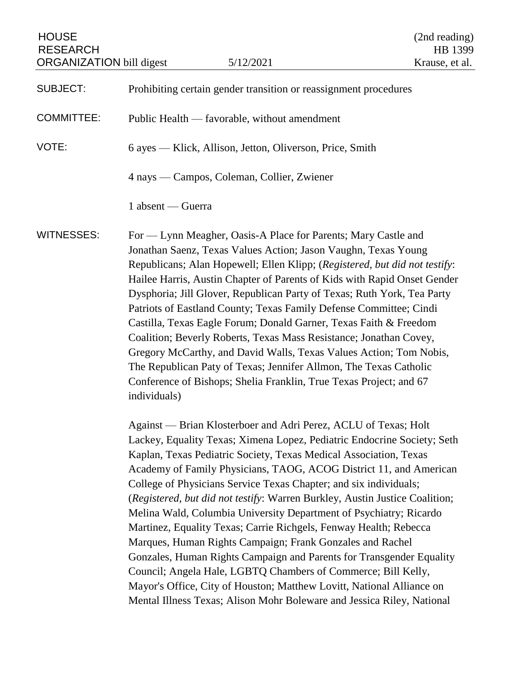| <b>HOUSE</b><br><b>RESEARCH</b><br><b>ORGANIZATION</b> bill digest |                                                                                                                                                                                                                                                                                                                                                                                                                                                                                                                                                                                                                                                                                                                                                                                                                                                                                                                                                                                                                                                                                                                                                                                                                                                                                                                                                                                                                                                                                                                                                                                                                                                                                                                                                                          | 5/12/2021 | (2nd reading)<br>HB 1399<br>Krause, et al. |
|--------------------------------------------------------------------|--------------------------------------------------------------------------------------------------------------------------------------------------------------------------------------------------------------------------------------------------------------------------------------------------------------------------------------------------------------------------------------------------------------------------------------------------------------------------------------------------------------------------------------------------------------------------------------------------------------------------------------------------------------------------------------------------------------------------------------------------------------------------------------------------------------------------------------------------------------------------------------------------------------------------------------------------------------------------------------------------------------------------------------------------------------------------------------------------------------------------------------------------------------------------------------------------------------------------------------------------------------------------------------------------------------------------------------------------------------------------------------------------------------------------------------------------------------------------------------------------------------------------------------------------------------------------------------------------------------------------------------------------------------------------------------------------------------------------------------------------------------------------|-----------|--------------------------------------------|
| <b>SUBJECT:</b>                                                    | Prohibiting certain gender transition or reassignment procedures                                                                                                                                                                                                                                                                                                                                                                                                                                                                                                                                                                                                                                                                                                                                                                                                                                                                                                                                                                                                                                                                                                                                                                                                                                                                                                                                                                                                                                                                                                                                                                                                                                                                                                         |           |                                            |
| <b>COMMITTEE:</b>                                                  | Public Health — favorable, without amendment                                                                                                                                                                                                                                                                                                                                                                                                                                                                                                                                                                                                                                                                                                                                                                                                                                                                                                                                                                                                                                                                                                                                                                                                                                                                                                                                                                                                                                                                                                                                                                                                                                                                                                                             |           |                                            |
| VOTE:                                                              | 6 ayes — Klick, Allison, Jetton, Oliverson, Price, Smith                                                                                                                                                                                                                                                                                                                                                                                                                                                                                                                                                                                                                                                                                                                                                                                                                                                                                                                                                                                                                                                                                                                                                                                                                                                                                                                                                                                                                                                                                                                                                                                                                                                                                                                 |           |                                            |
|                                                                    | 4 nays — Campos, Coleman, Collier, Zwiener                                                                                                                                                                                                                                                                                                                                                                                                                                                                                                                                                                                                                                                                                                                                                                                                                                                                                                                                                                                                                                                                                                                                                                                                                                                                                                                                                                                                                                                                                                                                                                                                                                                                                                                               |           |                                            |
|                                                                    | 1 absent — Guerra                                                                                                                                                                                                                                                                                                                                                                                                                                                                                                                                                                                                                                                                                                                                                                                                                                                                                                                                                                                                                                                                                                                                                                                                                                                                                                                                                                                                                                                                                                                                                                                                                                                                                                                                                        |           |                                            |
| <b>WITNESSES:</b>                                                  | For - Lynn Meagher, Oasis-A Place for Parents; Mary Castle and<br>Jonathan Saenz, Texas Values Action; Jason Vaughn, Texas Young<br>Republicans; Alan Hopewell; Ellen Klipp; (Registered, but did not testify:<br>Hailee Harris, Austin Chapter of Parents of Kids with Rapid Onset Gender<br>Dysphoria; Jill Glover, Republican Party of Texas; Ruth York, Tea Party<br>Patriots of Eastland County; Texas Family Defense Committee; Cindi<br>Castilla, Texas Eagle Forum; Donald Garner, Texas Faith & Freedom<br>Coalition; Beverly Roberts, Texas Mass Resistance; Jonathan Covey,<br>Gregory McCarthy, and David Walls, Texas Values Action; Tom Nobis,<br>The Republican Paty of Texas; Jennifer Allmon, The Texas Catholic<br>Conference of Bishops; Shelia Franklin, True Texas Project; and 67<br>individuals)<br>Against — Brian Klosterboer and Adri Perez, ACLU of Texas; Holt<br>Lackey, Equality Texas; Ximena Lopez, Pediatric Endocrine Society; Seth<br>Kaplan, Texas Pediatric Society, Texas Medical Association, Texas<br>Academy of Family Physicians, TAOG, ACOG District 11, and American<br>College of Physicians Service Texas Chapter; and six individuals;<br>(Registered, but did not testify: Warren Burkley, Austin Justice Coalition;<br>Melina Wald, Columbia University Department of Psychiatry; Ricardo<br>Martinez, Equality Texas; Carrie Richgels, Fenway Health; Rebecca<br>Marques, Human Rights Campaign; Frank Gonzales and Rachel<br>Gonzales, Human Rights Campaign and Parents for Transgender Equality<br>Council; Angela Hale, LGBTQ Chambers of Commerce; Bill Kelly,<br>Mayor's Office, City of Houston; Matthew Lovitt, National Alliance on<br>Mental Illness Texas; Alison Mohr Boleware and Jessica Riley, National |           |                                            |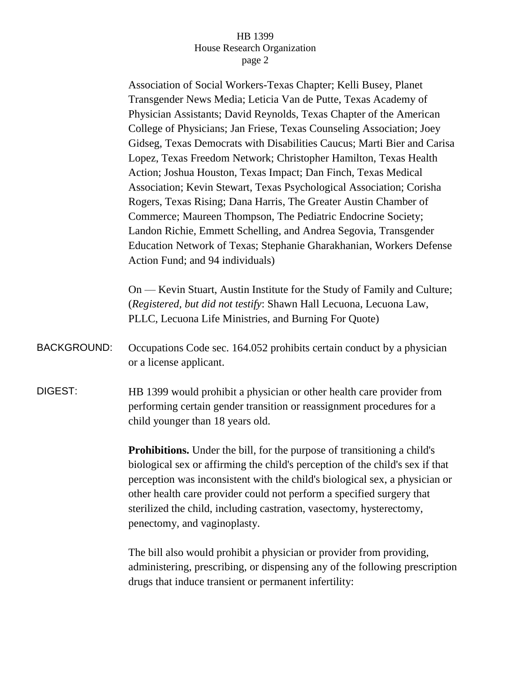## HB 1399 House Research Organization page 2

Association of Social Workers-Texas Chapter; Kelli Busey, Planet Transgender News Media; Leticia Van de Putte, Texas Academy of Physician Assistants; David Reynolds, Texas Chapter of the American College of Physicians; Jan Friese, Texas Counseling Association; Joey Gidseg, Texas Democrats with Disabilities Caucus; Marti Bier and Carisa Lopez, Texas Freedom Network; Christopher Hamilton, Texas Health Action; Joshua Houston, Texas Impact; Dan Finch, Texas Medical Association; Kevin Stewart, Texas Psychological Association; Corisha Rogers, Texas Rising; Dana Harris, The Greater Austin Chamber of Commerce; Maureen Thompson, The Pediatric Endocrine Society; Landon Richie, Emmett Schelling, and Andrea Segovia, Transgender Education Network of Texas; Stephanie Gharakhanian, Workers Defense Action Fund; and 94 individuals)

On — Kevin Stuart, Austin Institute for the Study of Family and Culture; (*Registered, but did not testify*: Shawn Hall Lecuona, Lecuona Law, PLLC, Lecuona Life Ministries, and Burning For Quote)

BACKGROUND: Occupations Code sec. 164.052 prohibits certain conduct by a physician or a license applicant.

DIGEST: HB 1399 would prohibit a physician or other health care provider from performing certain gender transition or reassignment procedures for a child younger than 18 years old.

> **Prohibitions.** Under the bill, for the purpose of transitioning a child's biological sex or affirming the child's perception of the child's sex if that perception was inconsistent with the child's biological sex, a physician or other health care provider could not perform a specified surgery that sterilized the child, including castration, vasectomy, hysterectomy, penectomy, and vaginoplasty.

The bill also would prohibit a physician or provider from providing, administering, prescribing, or dispensing any of the following prescription drugs that induce transient or permanent infertility: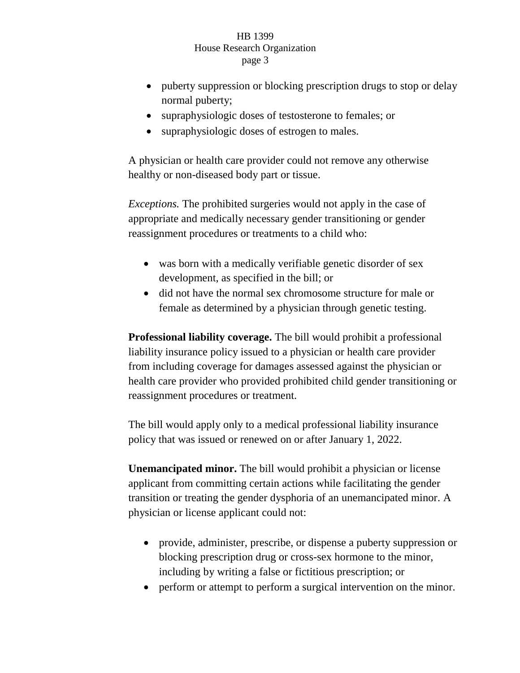## HB 1399 House Research Organization page 3

- puberty suppression or blocking prescription drugs to stop or delay normal puberty;
- supraphysiologic doses of testosterone to females; or
- supraphysiologic doses of estrogen to males.

A physician or health care provider could not remove any otherwise healthy or non-diseased body part or tissue.

*Exceptions.* The prohibited surgeries would not apply in the case of appropriate and medically necessary gender transitioning or gender reassignment procedures or treatments to a child who:

- was born with a medically verifiable genetic disorder of sex development, as specified in the bill; or
- did not have the normal sex chromosome structure for male or female as determined by a physician through genetic testing.

**Professional liability coverage.** The bill would prohibit a professional liability insurance policy issued to a physician or health care provider from including coverage for damages assessed against the physician or health care provider who provided prohibited child gender transitioning or reassignment procedures or treatment.

The bill would apply only to a medical professional liability insurance policy that was issued or renewed on or after January 1, 2022.

**Unemancipated minor.** The bill would prohibit a physician or license applicant from committing certain actions while facilitating the gender transition or treating the gender dysphoria of an unemancipated minor. A physician or license applicant could not:

- provide, administer, prescribe, or dispense a puberty suppression or blocking prescription drug or cross-sex hormone to the minor, including by writing a false or fictitious prescription; or
- perform or attempt to perform a surgical intervention on the minor.